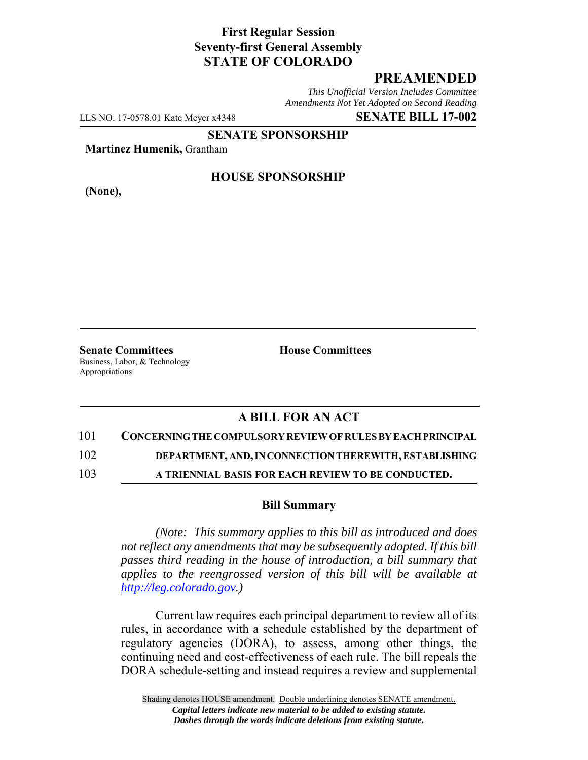# **First Regular Session Seventy-first General Assembly STATE OF COLORADO**

## **PREAMENDED**

*This Unofficial Version Includes Committee Amendments Not Yet Adopted on Second Reading*

LLS NO. 17-0578.01 Kate Meyer x4348 **SENATE BILL 17-002**

**SENATE SPONSORSHIP**

**Martinez Humenik,** Grantham

**(None),**

### **HOUSE SPONSORSHIP**

**Senate Committees House Committees** Business, Labor, & Technology Appropriations

# **A BILL FOR AN ACT**

#### 101 **CONCERNING THE COMPULSORY REVIEW OF RULES BY EACH PRINCIPAL**

102 **DEPARTMENT, AND, IN CONNECTION THEREWITH, ESTABLISHING**

103 **A TRIENNIAL BASIS FOR EACH REVIEW TO BE CONDUCTED.**

#### **Bill Summary**

*(Note: This summary applies to this bill as introduced and does not reflect any amendments that may be subsequently adopted. If this bill passes third reading in the house of introduction, a bill summary that applies to the reengrossed version of this bill will be available at http://leg.colorado.gov.)*

Current law requires each principal department to review all of its rules, in accordance with a schedule established by the department of regulatory agencies (DORA), to assess, among other things, the continuing need and cost-effectiveness of each rule. The bill repeals the DORA schedule-setting and instead requires a review and supplemental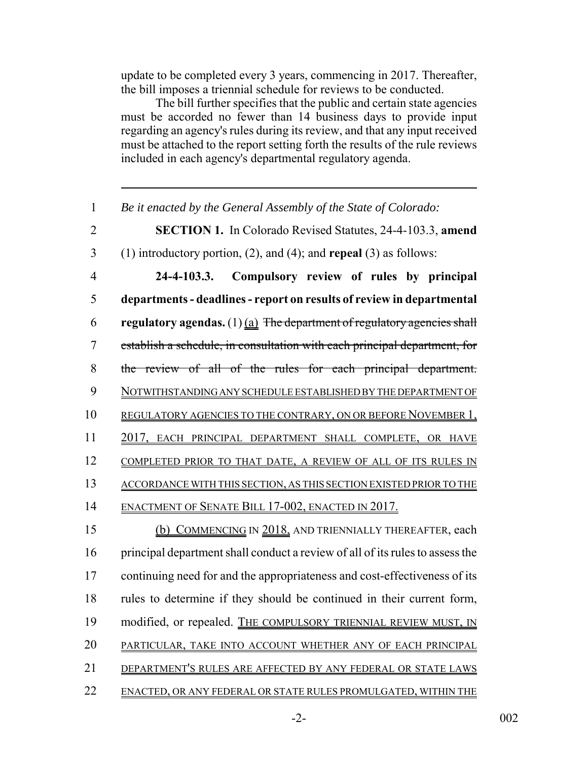update to be completed every 3 years, commencing in 2017. Thereafter, the bill imposes a triennial schedule for reviews to be conducted.

The bill further specifies that the public and certain state agencies must be accorded no fewer than 14 business days to provide input regarding an agency's rules during its review, and that any input received must be attached to the report setting forth the results of the rule reviews included in each agency's departmental regulatory agenda.

 *Be it enacted by the General Assembly of the State of Colorado:* **SECTION 1.** In Colorado Revised Statutes, 24-4-103.3, **amend** (1) introductory portion, (2), and (4); and **repeal** (3) as follows: **24-4-103.3. Compulsory review of rules by principal departments - deadlines - report on results of review in departmental regulatory agendas.** (1) (a) The department of regulatory agencies shall establish a schedule, in consultation with each principal department, for the review of all of the rules for each principal department. NOTWITHSTANDING ANY SCHEDULE ESTABLISHED BY THE DEPARTMENT OF REGULATORY AGENCIES TO THE CONTRARY, ON OR BEFORE NOVEMBER 1, 2017, EACH PRINCIPAL DEPARTMENT SHALL COMPLETE, OR HAVE COMPLETED PRIOR TO THAT DATE, A REVIEW OF ALL OF ITS RULES IN ACCORDANCE WITH THIS SECTION, AS THIS SECTION EXISTED PRIOR TO THE 14 ENACTMENT OF SENATE BILL 17-002, ENACTED IN 2017. 15 (b) COMMENCING IN 2018, AND TRIENNIALLY THEREAFTER, each principal department shall conduct a review of all of its rules to assess the continuing need for and the appropriateness and cost-effectiveness of its rules to determine if they should be continued in their current form, 19 modified, or repealed. THE COMPULSORY TRIENNIAL REVIEW MUST, IN 20 PARTICULAR, TAKE INTO ACCOUNT WHETHER ANY OF EACH PRINCIPAL 21 DEPARTMENT'S RULES ARE AFFECTED BY ANY FEDERAL OR STATE LAWS ENACTED, OR ANY FEDERAL OR STATE RULES PROMULGATED, WITHIN THE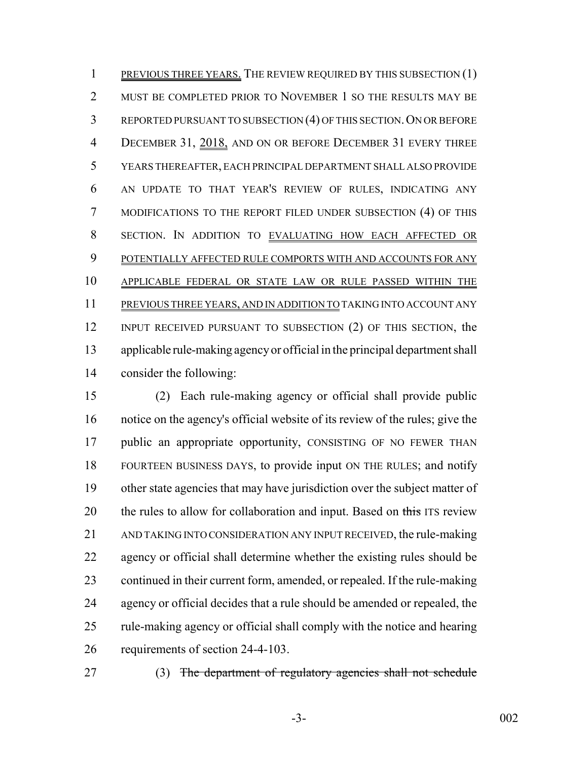1 PREVIOUS THREE YEARS. THE REVIEW REQUIRED BY THIS SUBSECTION (1) 2 MUST BE COMPLETED PRIOR TO NOVEMBER 1 SO THE RESULTS MAY BE 3 REPORTED PURSUANT TO SUBSECTION (4) OF THIS SECTION. ON OR BEFORE 4 DECEMBER 31, 2018, AND ON OR BEFORE DECEMBER 31 EVERY THREE YEARS THEREAFTER, EACH PRINCIPAL DEPARTMENT SHALL ALSO PROVIDE AN UPDATE TO THAT YEAR'S REVIEW OF RULES, INDICATING ANY MODIFICATIONS TO THE REPORT FILED UNDER SUBSECTION (4) OF THIS SECTION. IN ADDITION TO EVALUATING HOW EACH AFFECTED OR 9 POTENTIALLY AFFECTED RULE COMPORTS WITH AND ACCOUNTS FOR ANY APPLICABLE FEDERAL OR STATE LAW OR RULE PASSED WITHIN THE PREVIOUS THREE YEARS, AND IN ADDITION TO TAKING INTO ACCOUNT ANY INPUT RECEIVED PURSUANT TO SUBSECTION (2) OF THIS SECTION, the applicable rule-making agency or official in the principal department shall consider the following:

 (2) Each rule-making agency or official shall provide public notice on the agency's official website of its review of the rules; give the public an appropriate opportunity, CONSISTING OF NO FEWER THAN FOURTEEN BUSINESS DAYS, to provide input ON THE RULES; and notify other state agencies that may have jurisdiction over the subject matter of 20 the rules to allow for collaboration and input. Based on this ITS review AND TAKING INTO CONSIDERATION ANY INPUT RECEIVED, the rule-making agency or official shall determine whether the existing rules should be continued in their current form, amended, or repealed. If the rule-making agency or official decides that a rule should be amended or repealed, the rule-making agency or official shall comply with the notice and hearing requirements of section 24-4-103.

27 (3) The department of regulatory agencies shall not schedule